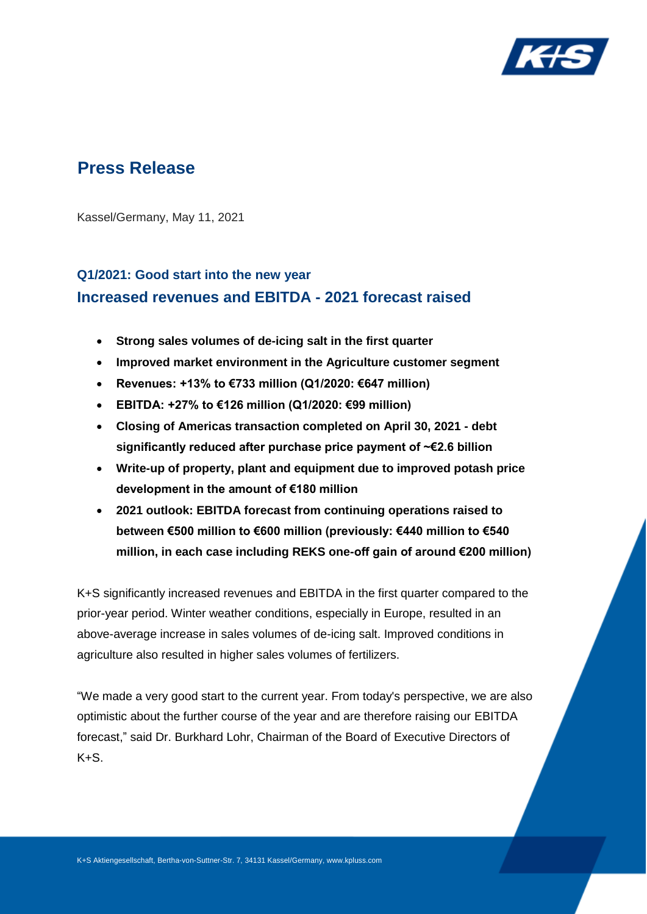

# **Press Release**

Kassel/Germany, May 11, 2021

# **Q1/2021: Good start into the new year Increased revenues and EBITDA - 2021 forecast raised**

- **Strong sales volumes of de-icing salt in the first quarter**
- **Improved market environment in the Agriculture customer segment**
- **Revenues: +13% to €733 million (Q1/2020: €647 million)**
- **EBITDA: +27% to €126 million (Q1/2020: €99 million)**
- **Closing of Americas transaction completed on April 30, 2021 - debt significantly reduced after purchase price payment of ~€2.6 billion**
- **Write-up of property, plant and equipment due to improved potash price development in the amount of €180 million**
- **2021 outlook: EBITDA forecast from continuing operations raised to between €500 million to €600 million (previously: €440 million to €540 million, in each case including REKS one-off gain of around €200 million)**

K+S significantly increased revenues and EBITDA in the first quarter compared to the prior-year period. Winter weather conditions, especially in Europe, resulted in an above-average increase in sales volumes of de-icing salt. Improved conditions in agriculture also resulted in higher sales volumes of fertilizers.

"We made a very good start to the current year. From today's perspective, we are also optimistic about the further course of the year and are therefore raising our EBITDA forecast," said Dr. Burkhard Lohr, Chairman of the Board of Executive Directors of  $K+S$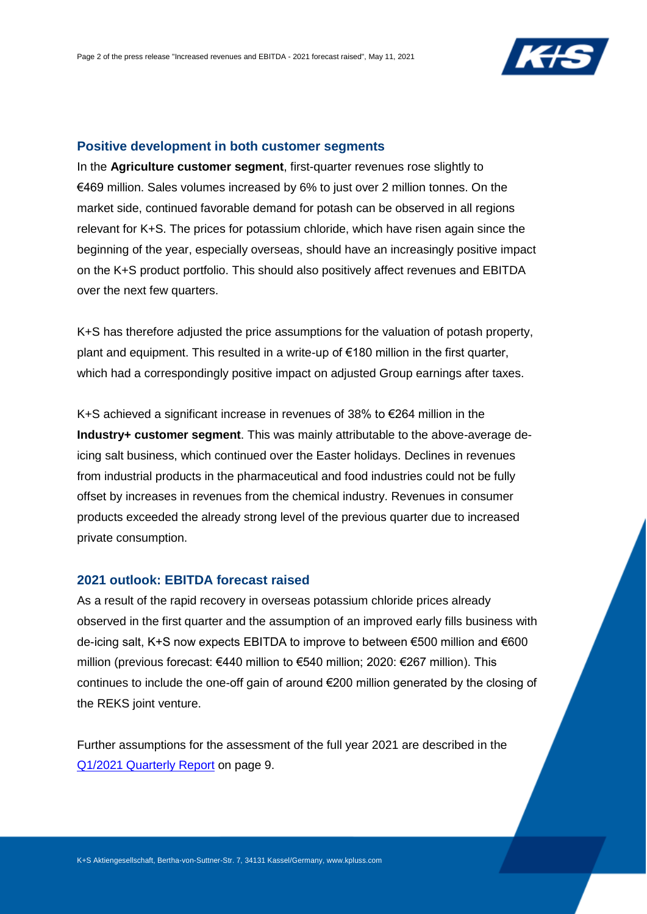

## **Positive development in both customer segments**

In the **Agriculture customer segment**, first-quarter revenues rose slightly to €469 million. Sales volumes increased by 6% to just over 2 million tonnes. On the market side, continued favorable demand for potash can be observed in all regions relevant for K+S. The prices for potassium chloride, which have risen again since the beginning of the year, especially overseas, should have an increasingly positive impact on the K+S product portfolio. This should also positively affect revenues and EBITDA over the next few quarters.

K+S has therefore adjusted the price assumptions for the valuation of potash property, plant and equipment. This resulted in a write-up of €180 million in the first quarter, which had a correspondingly positive impact on adjusted Group earnings after taxes.

K+S achieved a significant increase in revenues of 38% to €264 million in the **Industry+ customer segment**. This was mainly attributable to the above-average deicing salt business, which continued over the Easter holidays. Declines in revenues from industrial products in the pharmaceutical and food industries could not be fully offset by increases in revenues from the chemical industry. Revenues in consumer products exceeded the already strong level of the previous quarter due to increased private consumption.

## **2021 outlook: EBITDA forecast raised**

As a result of the rapid recovery in overseas potassium chloride prices already observed in the first quarter and the assumption of an improved early fills business with de-icing salt, K+S now expects EBITDA to improve to between €500 million and €600 million (previous forecast: €440 million to €540 million; 2020: €267 million). This continues to include the one-off gain of around €200 million generated by the closing of the REKS joint venture.

Further assumptions for the assessment of the full year 2021 are described in the [Q1/2021 Quarterly Report](http://www.kpluss.com/financial-publications) on page 9.